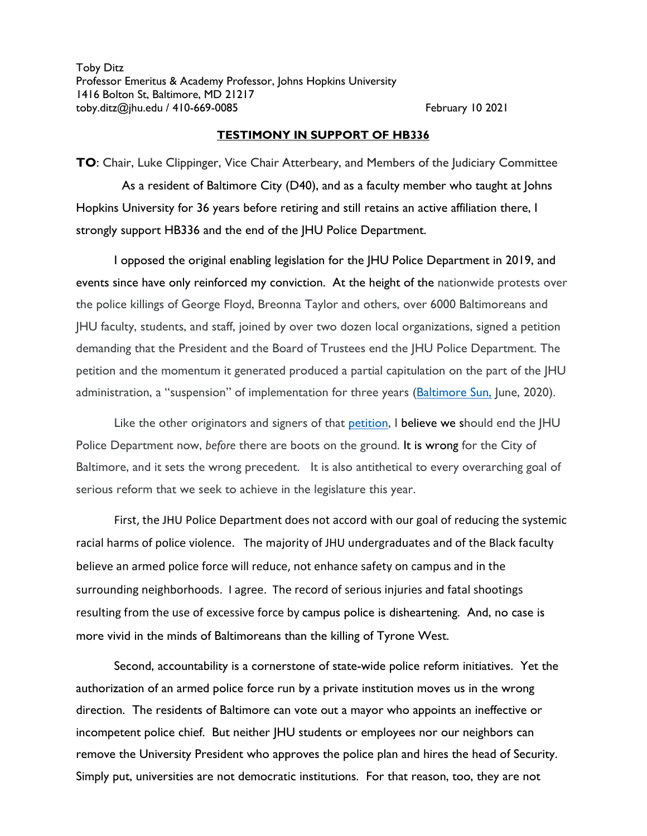Toby Ditz Professor Emeritus & Academy Professor, Johns Hopkins University 1416 Bolton St, Baltimore, MD 21217 toby.ditz@jhu.edu / 410-669-0085 February 10 2021

## **TESTIMONY IN SUPPORT OF HB336**

**TO**: Chair, Luke Clippinger, Vice Chair Atterbeary, and Members of the Judiciary Committee As a resident of Baltimore City (D40), and as a faculty member who taught at Johns Hopkins University for 36 years before retiring and still retains an active affiliation there, I strongly support HB336 and the end of the JHU Police Department.

I opposed the original enabling legislation for the JHU Police Department in 2019, and events since have only reinforced my conviction. At the height of the nationwide protests over the police killings of George Floyd, Breonna Taylor and others, over 6000 Baltimoreans and JHU faculty, students, and staff, joined by over two dozen local organizations, signed a petition demanding that the President and the Board of Trustees end the JHU Police Department. The petition and the momentum it generated produced a partial capitulation on the part of the JHU administration, a "suspension" of implementation for three years (**Baltimore Sun, June, 2020**).

Like the other originators and signers of that [petition,](https://drive.google.com/file/d/13twmkewdH7IFe1Xd7Z1pwy7hCRxSKSYJ/view) I believe we should end the JHU Police Department now, *before* there are boots on the ground. It is wrong for the City of Baltimore, and it sets the wrong precedent. It is also antithetical to every overarching goal of serious reform that we seek to achieve in the legislature this year.

First, the JHU Police Department does not accord with our goal of reducing the systemic racial harms of police violence. The majority of JHU undergraduates and of the Black faculty believe an armed police force will reduce, not enhance safety on campus and in the surrounding neighborhoods.I agree. The record of serious injuries and fatal shootings resulting from the use of excessive force by campus police is disheartening. And, no case is more vivid in the minds of Baltimoreans than the killing of Tyrone West.

Second, accountability is a cornerstone of state-wide police reform initiatives. Yet the authorization of an armed police force run by a private institution moves us in the wrong direction. The residents of Baltimore can vote out a mayor who appoints an ineffective or incompetent police chief. But neither JHU students or employees nor our neighbors can remove the University President who approves the police plan and hires the head of Security. Simply put, universities are not democratic institutions. For that reason, too, they are not